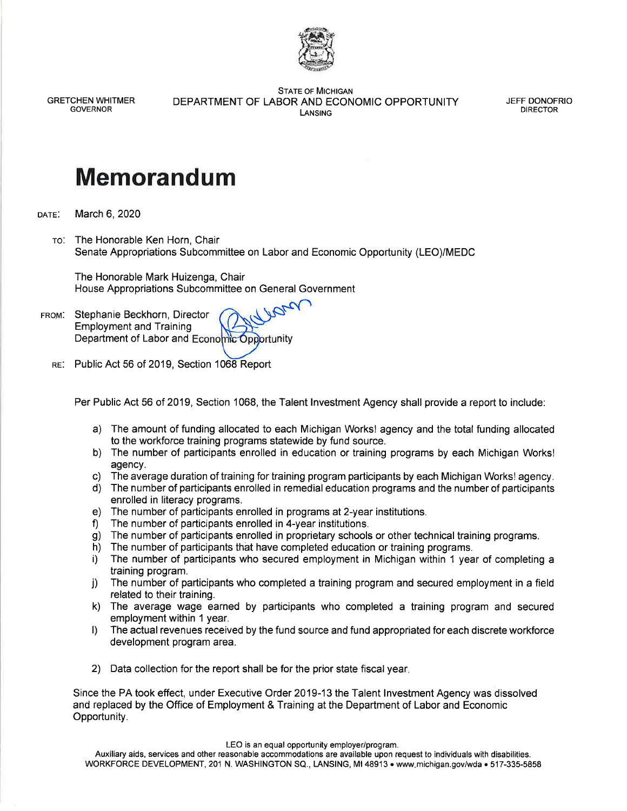

**GRETCHEN WHITMER GOVERNOR** 

**STATE OF MICHIGAN** DEPARTMENT OF LABOR AND ECONOMIC OPPORTUNITY LANSING

**JEFF DONOFRIO DIRECTOR** 

## **Memorandum**

March 6, 2020 DATE:

> TO: The Honorable Ken Horn, Chair Senate Appropriations Subcommittee on Labor and Economic Opportunity (LEO)/MEDC

The Honorable Mark Huizenga, Chair House Appropriations Subcommittee on General Government

- FROM. Stephanie Beckhorn, Director **Employment and Training** Department of Labor and Economic Opportunity
	- RE: Public Act 56 of 2019, Section 1068 Report

Per Public Act 56 of 2019, Section 1068, the Talent Investment Agency shall provide a report to include:

- a) The amount of funding allocated to each Michigan Works! agency and the total funding allocated to the workforce training programs statewide by fund source.
- b) The number of participants enrolled in education or training programs by each Michigan Works! agency.
- The average duration of training for training program participants by each Michigan Works! agency. C).
- d) The number of participants enrolled in remedial education programs and the number of participants enrolled in literacy programs.
- e) The number of participants enrolled in programs at 2-year institutions.
- The number of participants enrolled in 4-year institutions. f)
- The number of participants enrolled in proprietary schools or other technical training programs.  $g)$
- The number of participants that have completed education or training programs. h)
- i) The number of participants who secured employment in Michigan within 1 year of completing a training program.
- The number of participants who completed a training program and secured employment in a field j) related to their training.
- k) The average wage earned by participants who completed a training program and secured employment within 1 year.
- I) The actual revenues received by the fund source and fund appropriated for each discrete workforce development program area.
- 2) Data collection for the report shall be for the prior state fiscal year.

Since the PA took effect, under Executive Order 2019-13 the Talent Investment Agency was dissolved and replaced by the Office of Employment & Training at the Department of Labor and Economic Opportunity.

LEO is an equal opportunity employer/program.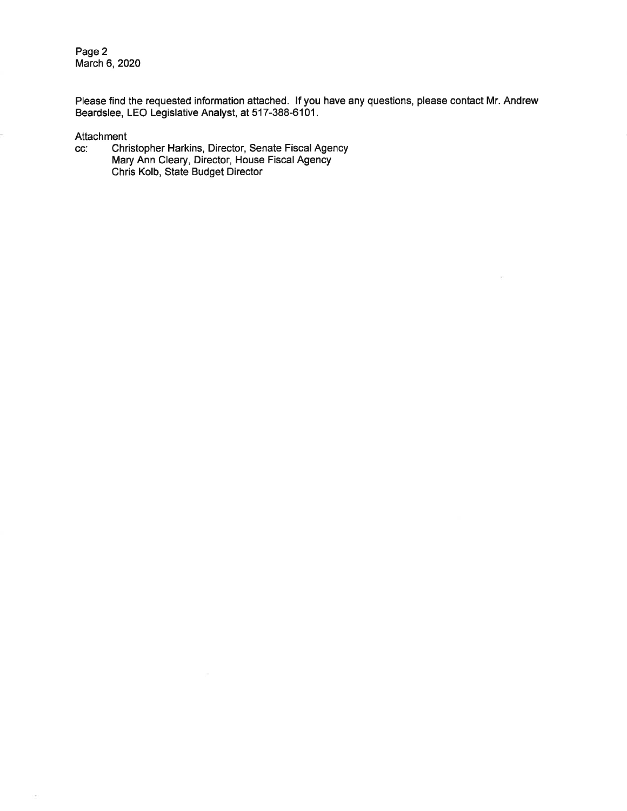Page 2 March 6, 2020

Please find the requested information attached. If you have any questions, please contact Mr. Andrew Beardslee, LEO Legislative Analyst, at 517-388-6101.

Attachment

 $\overline{\phantom{a}}$ 

Christopher Harkins, Director, Senate Fiscal Agency<br>Mary Ann Cleary, Director, House Fiscal Agency<br>Chris Kolb, State Budget Director CC.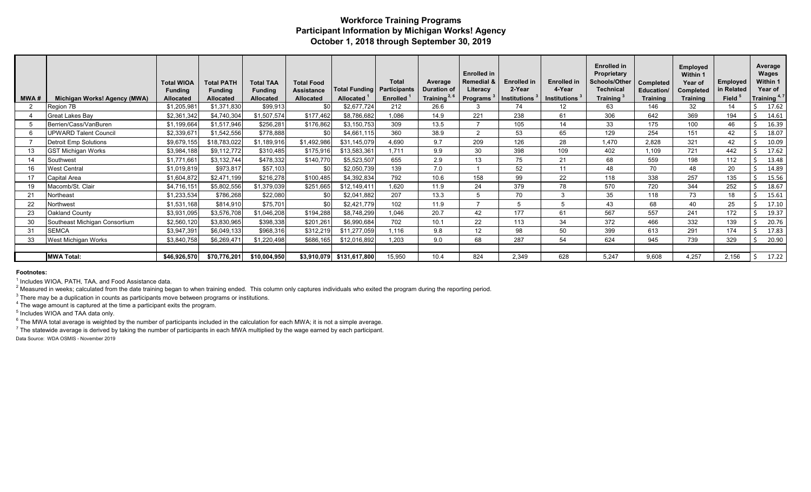## **Workforce Training Programs Participant Information by Michigan Works! Agency October 1, 2018 through September 30, 2019**

|      |                               | <b>Total WIOA</b><br><b>Funding</b> | <b>Total PATH</b><br><b>Funding</b> | <b>Total TAA</b><br><b>Funding</b> | <b>Total Food</b><br><b>Assistance</b> | <b>Total Funding</b> | <b>Total</b><br><b>Participants</b> | Average<br><b>Duration of</b> | <b>Enrolled in</b><br>Remedial &<br>Literacy | <b>Enrolled in</b><br>2-Year | <b>Enrolled in</b><br>4-Year | <b>Enrolled</b> in<br>Proprietary<br>Schools/Other<br><b>Technical</b> | Completed<br>Education/ | Employed<br>Within 1<br>Year of<br>Completed | Employed<br>in Related | Average<br>Wages<br>Within 1<br>Year of |
|------|-------------------------------|-------------------------------------|-------------------------------------|------------------------------------|----------------------------------------|----------------------|-------------------------------------|-------------------------------|----------------------------------------------|------------------------------|------------------------------|------------------------------------------------------------------------|-------------------------|----------------------------------------------|------------------------|-----------------------------------------|
| MWA# | Michigan Works! Agency (MWA)  | <b>Allocated</b>                    | <b>Allocated</b>                    | <b>Allocated</b>                   | <b>Allocated</b>                       | <b>Allocated</b>     | <b>Enrolled</b>                     | Training $2, 6$               | Programs <sup>3</sup>                        | Institutions <sup>3</sup>    | <b>Institutions</b>          | Training <sup>:</sup>                                                  | <b>Training</b>         | <b>Training</b>                              | Field <sup>5</sup>     | Training <sup>4,7</sup>                 |
| ാ    | Region 7B                     | \$1,205,981                         | \$1,371,830                         | \$99,913                           | \$0                                    | \$2,677,724          | 212                                 | 26.6                          |                                              | 74                           | 12 <sup>°</sup>              | 63                                                                     | 146                     | 32                                           | 14                     | 17.62                                   |
|      | Great Lakes Bay               | \$2,361,342                         | \$4,740,304                         | \$1,507,574                        | \$177,462                              | \$8,786,682          | 1,086                               | 14.9                          | 221                                          | 238                          | 61                           | 306                                                                    | 642                     | 369                                          | 194                    | 14.61                                   |
|      | Berrien/Cass/VanBuren         | \$1,199,664                         | \$1,517,946                         | \$256,281                          | \$176,862                              | \$3,150,753          | 309                                 | 13.5                          |                                              | 105                          | 14                           | 33                                                                     | 175                     | 100                                          | 46                     | 16.39                                   |
|      | <b>UPWARD Talent Council</b>  | \$2,339,671                         | \$1,542,556                         | \$778,888                          | \$0                                    | \$4,661,115          | 360                                 | 38.9                          | 2                                            | 53                           | 65                           | 129                                                                    | 254                     | 151                                          | 42                     | 18.07                                   |
|      | <b>Detroit Emp Solutions</b>  | \$9,679,155                         | \$18,783,022                        | \$1,189,916                        | \$1,492,986                            | \$31,145,079         | 4,690                               | 9.7                           | 209                                          | 126                          | 28                           | 1,470                                                                  | 2,828                   | 321                                          | 42                     | 10.09                                   |
| 13   | <b>GST Michigan Works</b>     | \$3,984,188                         | \$9,112,772                         | \$310,485                          | \$175,916                              | \$13,583,361         | 1.711                               | 9.9                           | 30                                           | 398                          | 109                          | 402                                                                    | 1,109                   | 721                                          | 442                    | 17.62                                   |
|      | Southwest                     | \$1,771,661                         | \$3,132,744                         | \$478,332                          | \$140,770                              | \$5,523,507          | 655                                 | 2.9                           | 13                                           | 75                           | 21                           | 68                                                                     | 559                     | 198                                          | 112                    | 13.48                                   |
|      | West Central                  | \$1,019,819                         | \$973,817                           | \$57,103                           | \$0                                    | \$2,050,739          | 139                                 | 7.0                           |                                              | 52                           | 11                           | 48                                                                     | 70                      | 48                                           | 20                     | 14.89                                   |
| 17   | Capital Area                  | \$1,604,872                         | \$2,471,199                         | \$216,278                          | \$100,485                              | \$4,392,834          | 792                                 | 10.6                          | 158                                          | 99                           | 22                           | 118                                                                    | 338                     | 257                                          | 135                    | 15.56                                   |
|      | Macomb/St. Clair              | \$4,716,151                         | \$5,802,556                         | \$1,379,039                        | \$251,665                              | \$12,149,411         | 1.620                               | 11.9                          | 24                                           | 379                          | 78                           | 570                                                                    | 720                     | 344                                          | 252                    | 18.67                                   |
| 21   | Northeast                     | \$1,233,534                         | \$786,268                           | \$22,080                           | \$0                                    | \$2,041,882          | 207                                 | 13.3                          |                                              | 70                           | २                            | 35                                                                     | 118                     | 73                                           | 18                     | 15.61                                   |
| 22   | Northwest                     | \$1,531,168                         | \$814,910                           | \$75,701                           | \$0                                    | \$2,421,779          | 102                                 | 11.9                          |                                              |                              | 5                            | 43                                                                     | 68                      | 40                                           | 25                     | 17.10                                   |
| 23   | Oakland County                | \$3,931,095                         | \$3,576,708                         | \$1,046,208                        | \$194,288                              | \$8,748,299          | 1.046                               | 20.7                          | 42                                           | 177                          | 61                           | 567                                                                    | 557                     | 241                                          | 172                    | 19.37                                   |
| 30   | Southeast Michigan Consortium | \$2,560,120                         | \$3,830,965                         | \$398,338                          | \$201,261                              | \$6,990,684          | 702                                 | 10.1                          | 22                                           | 113                          | 34                           | 372                                                                    | 466                     | 332                                          | 139                    | 20.76                                   |
| 31   | <b>SEMCA</b>                  | \$3,947,391                         | \$6,049,133                         | \$968,316                          | \$312,219                              | \$11,277,059         | 1.116                               | 9.8                           | 12                                           | 98                           | 50                           | 399                                                                    | 613                     | 291                                          | 174                    | 17.83                                   |
| 33   | West Michigan Works           | \$3,840,758                         | \$6,269,471                         | \$1,220,498                        | \$686,165                              | \$12,016,892         | 1.203                               | 9.0                           | 68                                           | 287                          | 54                           | 624                                                                    | 945                     | 739                                          | 329                    | 20.90                                   |
|      |                               |                                     |                                     |                                    |                                        |                      |                                     |                               |                                              |                              |                              |                                                                        |                         |                                              |                        |                                         |
|      | <b>MWA Total:</b>             | \$46,926,570                        | \$70,776,201                        | \$10,004,950                       | \$3,910,079                            | \$131,617,800        | 15,950                              | 10.4                          | 824                                          | 2.349                        | 628                          | 5,247                                                                  | 9,608                   | 4,257                                        | 2,156                  | 17.22                                   |

## **Footnotes:**

<sup>1</sup> Includes WIOA, PATH, TAA, and Food Assistance data.

 $^2$  Measured in weeks; calculated from the date training began to when training ended. This column only captures individuals who exited the program during the reporting period.

 $^3$  There may be a duplication in counts as participants move between programs or institutions.

 $^4$  The wage amount is captured at the time a participant exits the program.

<sup>5</sup> Includes WIOA and TAA data only.

 $^6$  The MWA total average is weighted by the number of participants included in the calculation for each MWA; it is not a simple average.

 $^7$  The statewide average is derived by taking the number of participants in each MWA multiplied by the wage earned by each participant. Data Source: WDA OSMIS - November 2019